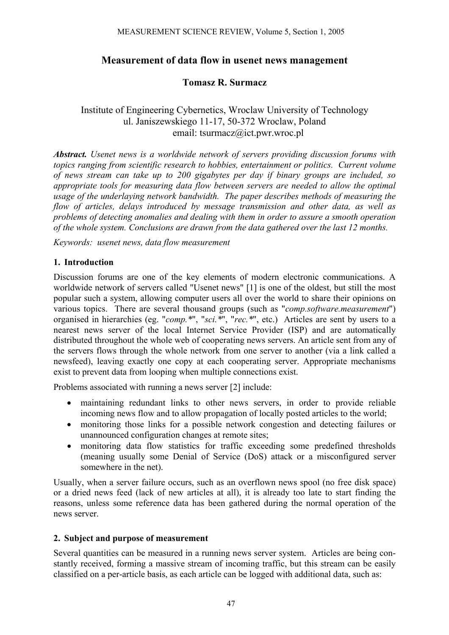# **Measurement of data flow in usenet news management**

## **Tomasz R. Surmacz**

## Institute of Engineering Cybernetics, Wroclaw University of Technology ul. Janiszewskiego 11-17, 50-372 Wroclaw, Poland email: tsurmacz@ict.pwr.wroc.pl

*Abstract. Usenet news is a worldwide network of servers providing discussion forums with topics ranging from scientific research to hobbies, entertainment or politics. Current volume of news stream can take up to 200 gigabytes per day if binary groups are included, so appropriate tools for measuring data flow between servers are needed to allow the optimal usage of the underlaying network bandwidth. The paper describes methods of measuring the flow of articles, delays introduced by message transmission and other data, as well as problems of detecting anomalies and dealing with them in order to assure a smooth operation of the whole system. Conclusions are drawn from the data gathered over the last 12 months.* 

*Keywords: usenet news, data flow measurement* 

### **1. Introduction**

Discussion forums are one of the key elements of modern electronic communications. A worldwide network of servers called "Usenet news" [1] is one of the oldest, but still the most popular such a system, allowing computer users all over the world to share their opinions on various topics. There are several thousand groups (such as "*comp.software.measurement*") organised in hierarchies (eg. "*comp.\**", "*sci.\**", "*rec.\**", etc.) Articles are sent by users to a nearest news server of the local Internet Service Provider (ISP) and are automatically distributed throughout the whole web of cooperating news servers. An article sent from any of the servers flows through the whole network from one server to another (via a link called a newsfeed), leaving exactly one copy at each cooperating server. Appropriate mechanisms exist to prevent data from looping when multiple connections exist.

Problems associated with running a news server [2] include:

- maintaining redundant links to other news servers, in order to provide reliable incoming news flow and to allow propagation of locally posted articles to the world;
- monitoring those links for a possible network congestion and detecting failures or unannounced configuration changes at remote sites;
- monitoring data flow statistics for traffic exceeding some predefined thresholds (meaning usually some Denial of Service (DoS) attack or a misconfigured server somewhere in the net).

Usually, when a server failure occurs, such as an overflown news spool (no free disk space) or a dried news feed (lack of new articles at all), it is already too late to start finding the reasons, unless some reference data has been gathered during the normal operation of the news server.

#### **2. Subject and purpose of measurement**

Several quantities can be measured in a running news server system. Articles are being constantly received, forming a massive stream of incoming traffic, but this stream can be easily classified on a per-article basis, as each article can be logged with additional data, such as: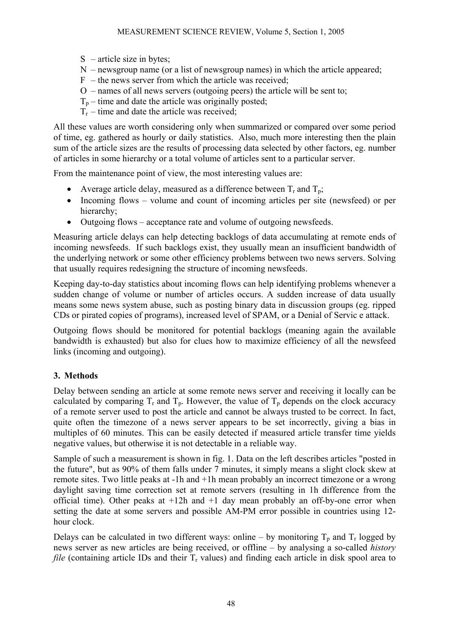- $S$  article size in bytes;
- N newsgroup name (or a list of newsgroup names) in which the article appeared;
- $F -$  the news server from which the article was received:
- O names of all news servers (outgoing peers) the article will be sent to;
- $T_p$  time and date the article was originally posted;
- $T<sub>r</sub>$  time and date the article was received;

All these values are worth considering only when summarized or compared over some period of time, eg. gathered as hourly or daily statistics. Also, much more interesting then the plain sum of the article sizes are the results of processing data selected by other factors, eg. number of articles in some hierarchy or a total volume of articles sent to a particular server.

From the maintenance point of view, the most interesting values are:

- Average article delay, measured as a difference between  $T_r$  and  $T_p$ ;
- Incoming flows volume and count of incoming articles per site (newsfeed) or per hierarchy;
- Outgoing flows acceptance rate and volume of outgoing newsfeeds.

Measuring article delays can help detecting backlogs of data accumulating at remote ends of incoming newsfeeds. If such backlogs exist, they usually mean an insufficient bandwidth of the underlying network or some other efficiency problems between two news servers. Solving that usually requires redesigning the structure of incoming newsfeeds.

Keeping day-to-day statistics about incoming flows can help identifying problems whenever a sudden change of volume or number of articles occurs. A sudden increase of data usually means some news system abuse, such as posting binary data in discussion groups (eg. ripped CDs or pirated copies of programs), increased level of SPAM, or a Denial of Servic e attack.

Outgoing flows should be monitored for potential backlogs (meaning again the available bandwidth is exhausted) but also for clues how to maximize efficiency of all the newsfeed links (incoming and outgoing).

## **3. Methods**

Delay between sending an article at some remote news server and receiving it locally can be calculated by comparing  $T_r$  and  $T_p$ . However, the value of  $T_p$  depends on the clock accuracy of a remote server used to post the article and cannot be always trusted to be correct. In fact, quite often the timezone of a news server appears to be set incorrectly, giving a bias in multiples of 60 minutes. This can be easily detected if measured article transfer time yields negative values, but otherwise it is not detectable in a reliable way.

Sample of such a measurement is shown in fig. 1. Data on the left describes articles "posted in the future", but as 90% of them falls under 7 minutes, it simply means a slight clock skew at remote sites. Two little peaks at -1h and +1h mean probably an incorrect timezone or a wrong daylight saving time correction set at remote servers (resulting in 1h difference from the official time). Other peaks at +12h and +1 day mean probably an off-by-one error when setting the date at some servers and possible AM-PM error possible in countries using 12 hour clock.

Delays can be calculated in two different ways: online – by monitoring  $T_p$  and  $T_r$  logged by news server as new articles are being received, or offline – by analysing a so-called *history file* (containing article IDs and their  $T_r$  values) and finding each article in disk spool area to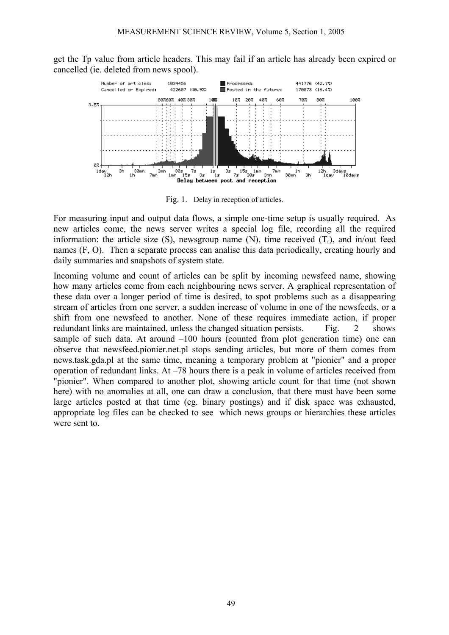get the Tp value from article headers. This may fail if an article has already been expired or cancelled (ie. deleted from news spool).



Fig. 1. Delay in reception of articles.

For measuring input and output data flows, a simple one-time setup is usually required. As new articles come, the news server writes a special log file, recording all the required information: the article size  $(S)$ , newsgroup name  $(N)$ , time received  $(T<sub>r</sub>)$ , and in/out feed names (F, O). Then a separate process can analise this data periodically, creating hourly and daily summaries and snapshots of system state.

Incoming volume and count of articles can be split by incoming newsfeed name, showing how many articles come from each neighbouring news server. A graphical representation of these data over a longer period of time is desired, to spot problems such as a disappearing stream of articles from one server, a sudden increase of volume in one of the newsfeeds, or a shift from one newsfeed to another. None of these requires immediate action, if proper redundant links are maintained, unless the changed situation persists. Fig. 2 shows sample of such data. At around –100 hours (counted from plot generation time) one can observe that newsfeed.pionier.net.pl stops sending articles, but more of them comes from news.task.gda.pl at the same time, meaning a temporary problem at "pionier" and a proper operation of redundant links. At –78 hours there is a peak in volume of articles received from "pionier". When compared to another plot, showing article count for that time (not shown here) with no anomalies at all, one can draw a conclusion, that there must have been some large articles posted at that time (eg. binary postings) and if disk space was exhausted, appropriate log files can be checked to see which news groups or hierarchies these articles were sent to.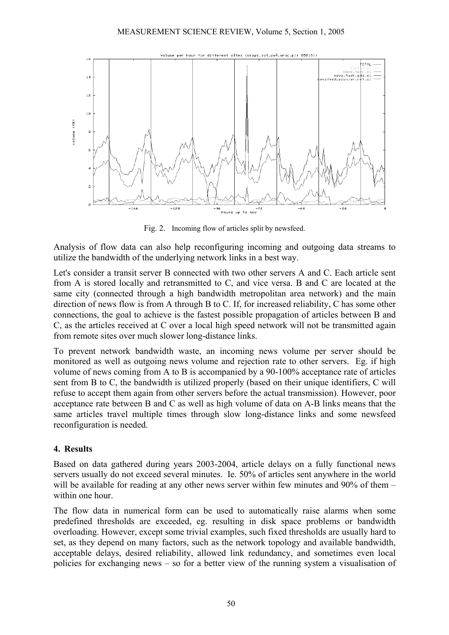

Fig. 2. Incoming flow of articles split by newsfeed.

Analysis of flow data can also help reconfiguring incoming and outgoing data streams to utilize the bandwidth of the underlying network links in a best way.

Let's consider a transit server B connected with two other servers A and C. Each article sent from A is stored locally and retransmitted to C, and vice versa. B and C are located at the same city (connected through a high bandwidth metropolitan area network) and the main direction of news flow is from A through B to C. If, for increased reliability, C has some other connections, the goal to achieve is the fastest possible propagation of articles between B and C, as the articles received at C over a local high speed network will not be transmitted again from remote sites over much slower long-distance links.

To prevent network bandwidth waste, an incoming news volume per server should be monitored as well as outgoing news volume and rejection rate to other servers. Eg. if high volume of news coming from A to B is accompanied by a 90-100% acceptance rate of articles sent from B to C, the bandwidth is utilized properly (based on their unique identifiers, C will refuse to accept them again from other servers before the actual transmission). However, poor acceptance rate between B and C as well as high volume of data on A-B links means that the same articles travel multiple times through slow long-distance links and some newsfeed reconfiguration is needed.

#### **4. Results**

Based on data gathered during years 2003-2004, article delays on a fully functional news servers usually do not exceed several minutes. Ie. 50% of articles sent anywhere in the world will be available for reading at any other news server within few minutes and 90% of them – within one hour.

The flow data in numerical form can be used to automatically raise alarms when some predefined thresholds are exceeded, eg. resulting in disk space problems or bandwidth overloading. However, except some trivial examples, such fixed thresholds are usually hard to set, as they depend on many factors, such as the network topology and available bandwidth, acceptable delays, desired reliability, allowed link redundancy, and sometimes even local policies for exchanging news – so for a better view of the running system a visualisation of